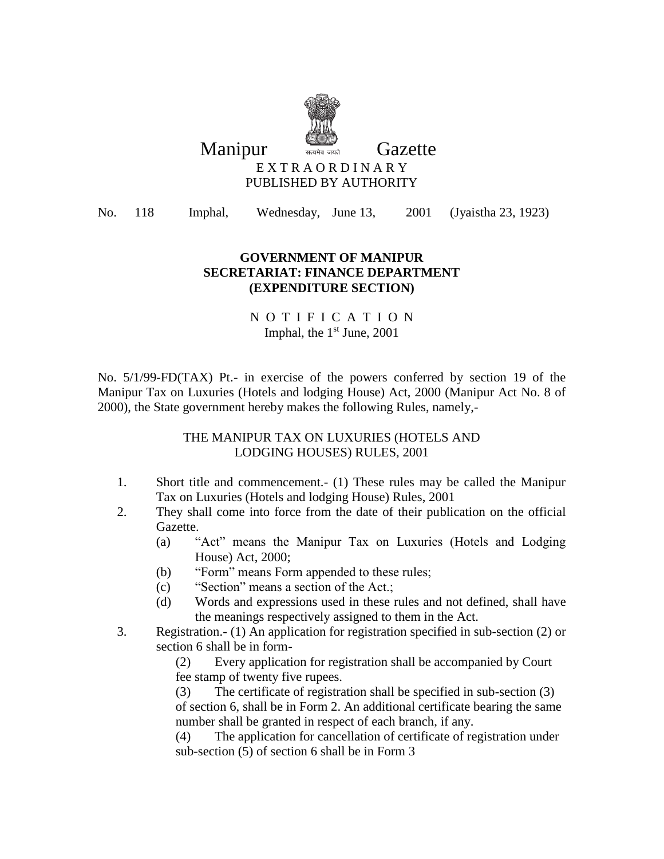

Manipur **Wanda** Gazette

#### E X T R A O R D I N A R Y PUBLISHED BY AUTHORITY

No. 118 Imphal, Wednesday, June 13, 2001 (Jyaistha 23, 1923)

### **GOVERNMENT OF MANIPUR SECRETARIAT: FINANCE DEPARTMENT (EXPENDITURE SECTION)**

### N O T I F I C A T I O N Imphal, the  $1<sup>st</sup>$  June, 2001

No. 5/1/99-FD(TAX) Pt.- in exercise of the powers conferred by section 19 of the Manipur Tax on Luxuries (Hotels and lodging House) Act, 2000 (Manipur Act No. 8 of 2000), the State government hereby makes the following Rules, namely,-

### THE MANIPUR TAX ON LUXURIES (HOTELS AND LODGING HOUSES) RULES, 2001

- 1. Short title and commencement.- (1) These rules may be called the Manipur Tax on Luxuries (Hotels and lodging House) Rules, 2001
- 2. They shall come into force from the date of their publication on the official Gazette.
	- (a) "Act" means the Manipur Tax on Luxuries (Hotels and Lodging House) Act, 2000;
	- (b) "Form" means Form appended to these rules;
	- (c) "Section" means a section of the Act.;
	- (d) Words and expressions used in these rules and not defined, shall have the meanings respectively assigned to them in the Act.
- 3. Registration.- (1) An application for registration specified in sub-section (2) or section 6 shall be in form-

(2) Every application for registration shall be accompanied by Court fee stamp of twenty five rupees.

(3) The certificate of registration shall be specified in sub-section (3) of section 6, shall be in Form 2. An additional certificate bearing the same number shall be granted in respect of each branch, if any.

(4) The application for cancellation of certificate of registration under sub-section (5) of section 6 shall be in Form 3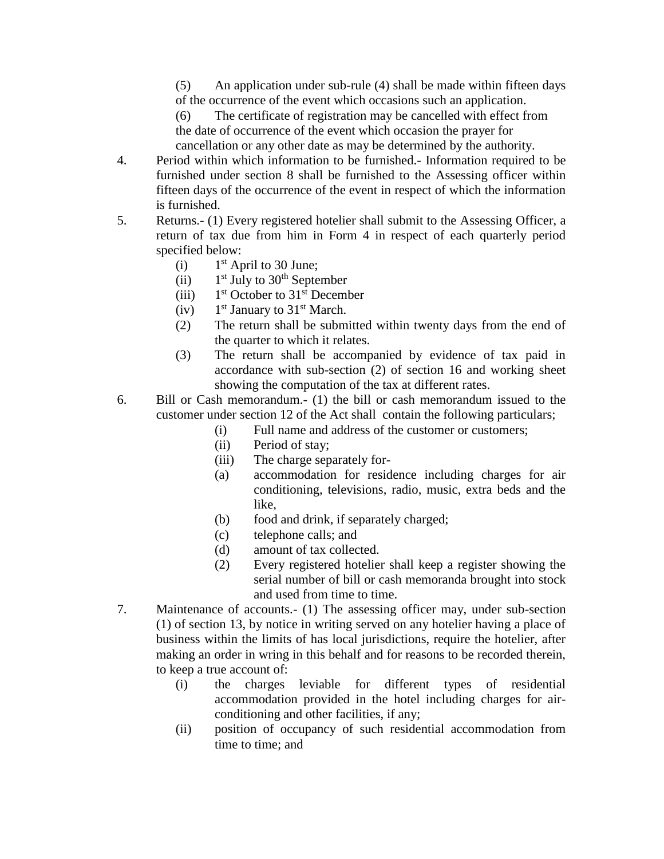(5) An application under sub-rule (4) shall be made within fifteen days of the occurrence of the event which occasions such an application.

(6) The certificate of registration may be cancelled with effect from the date of occurrence of the event which occasion the prayer for cancellation or any other date as may be determined by the authority.

- 4. Period within which information to be furnished.- Information required to be furnished under section 8 shall be furnished to the Assessing officer within fifteen days of the occurrence of the event in respect of which the information is furnished.
- 5. Returns.- (1) Every registered hotelier shall submit to the Assessing Officer, a return of tax due from him in Form 4 in respect of each quarterly period specified below:
	- $(i)$  $1<sup>st</sup>$  April to 30 June;
	- $(ii)$  $1<sup>st</sup>$  July to  $30<sup>th</sup>$  September
	- $(iii)$ 1<sup>st</sup> October to 31<sup>st</sup> December
	- $(iv)$  $1<sup>st</sup>$  January to  $31<sup>st</sup>$  March.
	- (2) The return shall be submitted within twenty days from the end of the quarter to which it relates.
	- (3) The return shall be accompanied by evidence of tax paid in accordance with sub-section (2) of section 16 and working sheet showing the computation of the tax at different rates.
- 6. Bill or Cash memorandum.- (1) the bill or cash memorandum issued to the customer under section 12 of the Act shall contain the following particulars;
	- (i) Full name and address of the customer or customers;
	- (ii) Period of stay;
	- (iii) The charge separately for-
	- (a) accommodation for residence including charges for air conditioning, televisions, radio, music, extra beds and the like,
	- (b) food and drink, if separately charged;
	- (c) telephone calls; and
	- (d) amount of tax collected.
	- (2) Every registered hotelier shall keep a register showing the serial number of bill or cash memoranda brought into stock and used from time to time.
- 7. Maintenance of accounts.- (1) The assessing officer may, under sub-section (1) of section 13, by notice in writing served on any hotelier having a place of business within the limits of has local jurisdictions, require the hotelier, after making an order in wring in this behalf and for reasons to be recorded therein, to keep a true account of:
	- (i) the charges leviable for different types of residential accommodation provided in the hotel including charges for airconditioning and other facilities, if any;
	- (ii) position of occupancy of such residential accommodation from time to time; and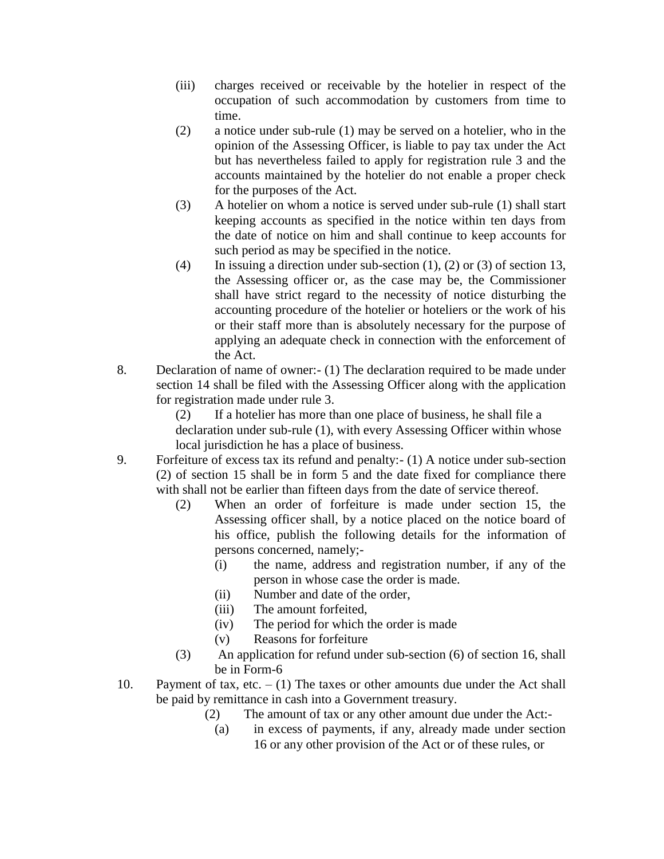- (iii) charges received or receivable by the hotelier in respect of the occupation of such accommodation by customers from time to time.
- (2) a notice under sub-rule (1) may be served on a hotelier, who in the opinion of the Assessing Officer, is liable to pay tax under the Act but has nevertheless failed to apply for registration rule 3 and the accounts maintained by the hotelier do not enable a proper check for the purposes of the Act.
- (3) A hotelier on whom a notice is served under sub-rule (1) shall start keeping accounts as specified in the notice within ten days from the date of notice on him and shall continue to keep accounts for such period as may be specified in the notice.
- (4) In issuing a direction under sub-section (1), (2) or (3) of section 13, the Assessing officer or, as the case may be, the Commissioner shall have strict regard to the necessity of notice disturbing the accounting procedure of the hotelier or hoteliers or the work of his or their staff more than is absolutely necessary for the purpose of applying an adequate check in connection with the enforcement of the Act.
- 8. Declaration of name of owner:- (1) The declaration required to be made under section 14 shall be filed with the Assessing Officer along with the application for registration made under rule 3.

(2) If a hotelier has more than one place of business, he shall file a declaration under sub-rule (1), with every Assessing Officer within whose local jurisdiction he has a place of business.

- 9. Forfeiture of excess tax its refund and penalty:- (1) A notice under sub-section (2) of section 15 shall be in form 5 and the date fixed for compliance there with shall not be earlier than fifteen days from the date of service thereof.
	- (2) When an order of forfeiture is made under section 15, the Assessing officer shall, by a notice placed on the notice board of his office, publish the following details for the information of persons concerned, namely;-
		- (i) the name, address and registration number, if any of the person in whose case the order is made.
		- (ii) Number and date of the order,
		- (iii) The amount forfeited,
		- (iv) The period for which the order is made
		- (v) Reasons for forfeiture
	- (3) An application for refund under sub-section (6) of section 16, shall be in Form-6
- 10. Payment of tax, etc.  $(1)$  The taxes or other amounts due under the Act shall be paid by remittance in cash into a Government treasury.
	- (2) The amount of tax or any other amount due under the Act:-
		- (a) in excess of payments, if any, already made under section 16 or any other provision of the Act or of these rules, or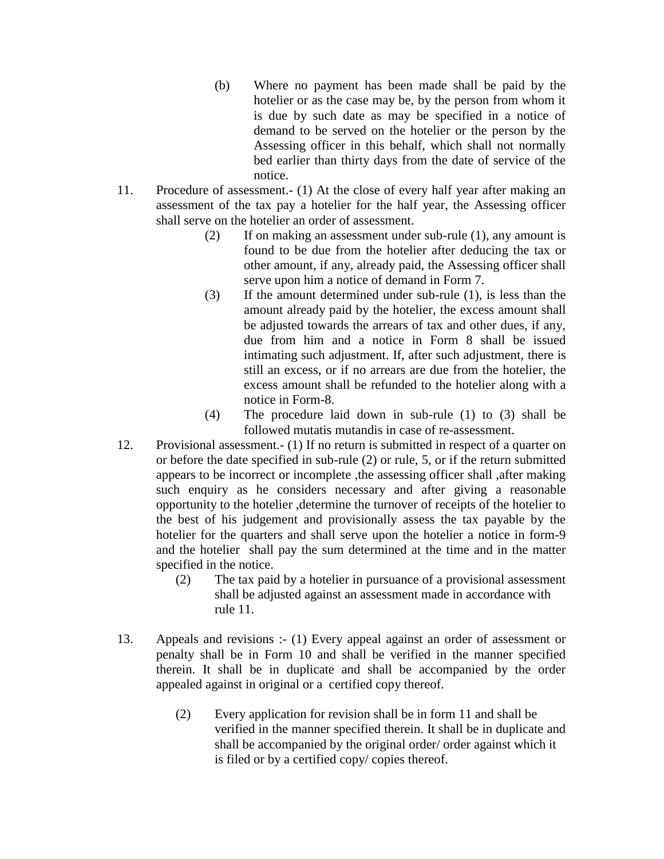- (b) Where no payment has been made shall be paid by the hotelier or as the case may be, by the person from whom it is due by such date as may be specified in a notice of demand to be served on the hotelier or the person by the Assessing officer in this behalf, which shall not normally bed earlier than thirty days from the date of service of the notice.
- 11. Procedure of assessment.- (1) At the close of every half year after making an assessment of the tax pay a hotelier for the half year, the Assessing officer shall serve on the hotelier an order of assessment.
	- (2) If on making an assessment under sub-rule (1), any amount is found to be due from the hotelier after deducing the tax or other amount, if any, already paid, the Assessing officer shall serve upon him a notice of demand in Form 7.
	- (3) If the amount determined under sub-rule (1), is less than the amount already paid by the hotelier, the excess amount shall be adjusted towards the arrears of tax and other dues, if any, due from him and a notice in Form 8 shall be issued intimating such adjustment. If, after such adjustment, there is still an excess, or if no arrears are due from the hotelier, the excess amount shall be refunded to the hotelier along with a notice in Form-8.
	- (4) The procedure laid down in sub-rule (1) to (3) shall be followed mutatis mutandis in case of re-assessment.
- 12. Provisional assessment.- (1) If no return is submitted in respect of a quarter on or before the date specified in sub-rule (2) or rule, 5, or if the return submitted appears to be incorrect or incomplete ,the assessing officer shall ,after making such enquiry as he considers necessary and after giving a reasonable opportunity to the hotelier ,determine the turnover of receipts of the hotelier to the best of his judgement and provisionally assess the tax payable by the hotelier for the quarters and shall serve upon the hotelier a notice in form-9 and the hotelier shall pay the sum determined at the time and in the matter specified in the notice.
	- (2) The tax paid by a hotelier in pursuance of a provisional assessment shall be adjusted against an assessment made in accordance with rule 11.
- 13. Appeals and revisions :- (1) Every appeal against an order of assessment or penalty shall be in Form 10 and shall be verified in the manner specified therein. It shall be in duplicate and shall be accompanied by the order appealed against in original or a certified copy thereof.
	- (2) Every application for revision shall be in form 11 and shall be verified in the manner specified therein. It shall be in duplicate and shall be accompanied by the original order/ order against which it is filed or by a certified copy/ copies thereof.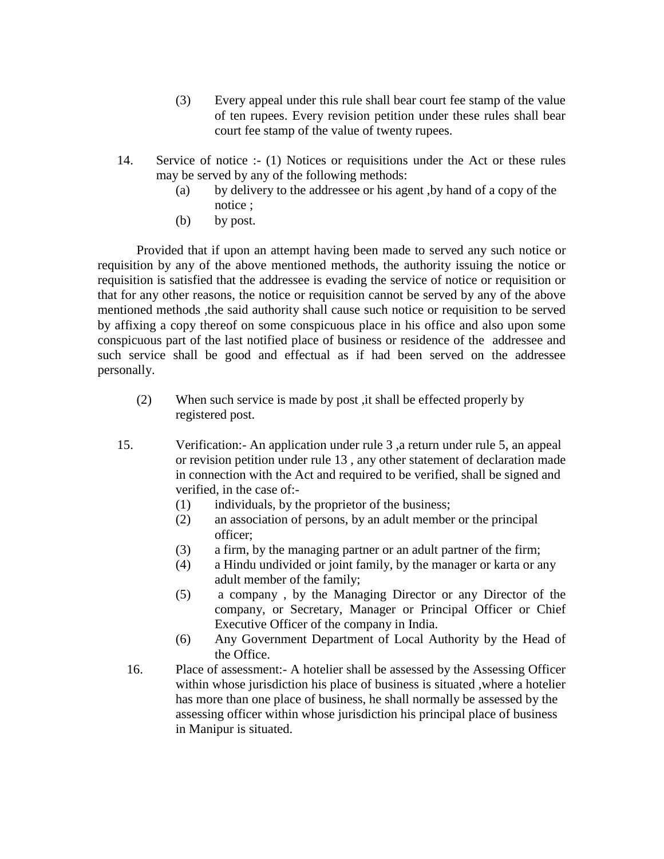- (3) Every appeal under this rule shall bear court fee stamp of the value of ten rupees. Every revision petition under these rules shall bear court fee stamp of the value of twenty rupees.
- 14. Service of notice :- (1) Notices or requisitions under the Act or these rules may be served by any of the following methods:
	- (a) by delivery to the addressee or his agent ,by hand of a copy of the notice ;
	- (b) by post.

Provided that if upon an attempt having been made to served any such notice or requisition by any of the above mentioned methods, the authority issuing the notice or requisition is satisfied that the addressee is evading the service of notice or requisition or that for any other reasons, the notice or requisition cannot be served by any of the above mentioned methods ,the said authority shall cause such notice or requisition to be served by affixing a copy thereof on some conspicuous place in his office and also upon some conspicuous part of the last notified place of business or residence of the addressee and such service shall be good and effectual as if had been served on the addressee personally.

- (2) When such service is made by post ,it shall be effected properly by registered post.
- 15. Verification:- An application under rule 3 ,a return under rule 5, an appeal or revision petition under rule 13 , any other statement of declaration made in connection with the Act and required to be verified, shall be signed and verified, in the case of:-
	- (1) individuals, by the proprietor of the business;
	- (2) an association of persons, by an adult member or the principal officer;
	- (3) a firm, by the managing partner or an adult partner of the firm;
	- (4) a Hindu undivided or joint family, by the manager or karta or any adult member of the family;
	- (5) a company , by the Managing Director or any Director of the company, or Secretary, Manager or Principal Officer or Chief Executive Officer of the company in India.
	- (6) Any Government Department of Local Authority by the Head of the Office.
	- 16. Place of assessment:- A hotelier shall be assessed by the Assessing Officer within whose jurisdiction his place of business is situated ,where a hotelier has more than one place of business, he shall normally be assessed by the assessing officer within whose jurisdiction his principal place of business in Manipur is situated.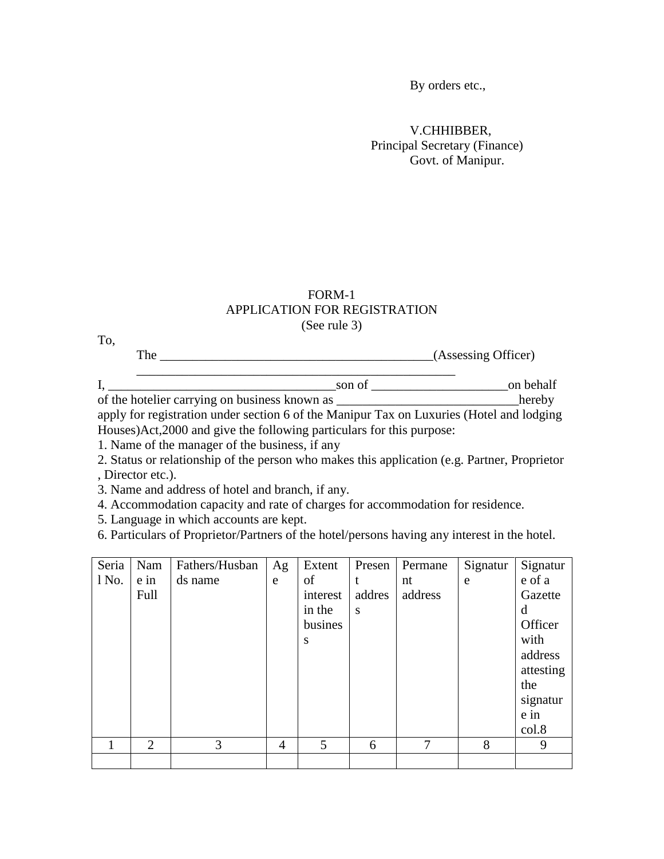By orders etc.,

V.CHHIBBER, Principal Secretary (Finance) Govt. of Manipur.

#### FORM-1 APPLICATION FOR REGISTRATION (See rule 3)

| .<br>The |                                                                                   | (Assessing Officer) |
|----------|-----------------------------------------------------------------------------------|---------------------|
|          | son of                                                                            | on behalf           |
|          |                                                                                   | hereby              |
|          | ough for a intention when social Coftles Moninum Toy on Lympus (Hotel on La Joine |                     |

apply for registration under section 6 of the Manipur Tax on Luxuries (Hotel and lodging Houses)Act,2000 and give the following particulars for this purpose:

1. Name of the manager of the business, if any

2. Status or relationship of the person who makes this application (e.g. Partner, Proprietor , Director etc.).

3. Name and address of hotel and branch, if any.

4. Accommodation capacity and rate of charges for accommodation for residence.

5. Language in which accounts are kept.

To,

6. Particulars of Proprietor/Partners of the hotel/persons having any interest in the hotel.

| Seria   | Nam            | Fathers/Husban | Ag             | Extent   | Presen | Permane      | Signatur | Signatur  |
|---------|----------------|----------------|----------------|----------|--------|--------------|----------|-----------|
| $1$ No. | e in           | ds name        | e              | of       |        | nt           | e        | e of a    |
|         | Full           |                |                | interest | addres | address      |          | Gazette   |
|         |                |                |                | in the   | S      |              |          | d         |
|         |                |                |                | busines  |        |              |          | Officer   |
|         |                |                |                | S        |        |              |          | with      |
|         |                |                |                |          |        |              |          | address   |
|         |                |                |                |          |        |              |          | attesting |
|         |                |                |                |          |        |              |          | the       |
|         |                |                |                |          |        |              |          | signatur  |
|         |                |                |                |          |        |              |          | $e$ in    |
|         |                |                |                |          |        |              |          | col.8     |
|         | $\overline{2}$ | 3              | $\overline{4}$ | 5        | 6      | $\mathbf{7}$ | 8        | 9         |
|         |                |                |                |          |        |              |          |           |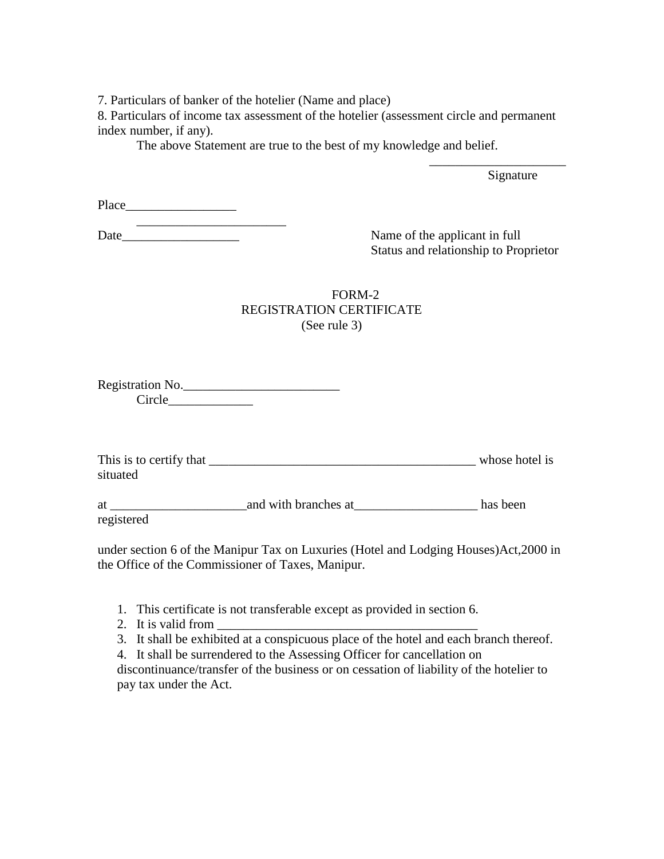7. Particulars of banker of the hotelier (Name and place)

8. Particulars of income tax assessment of the hotelier (assessment circle and permanent index number, if any).

The above Statement are true to the best of my knowledge and belief.

Signature

\_\_\_\_\_\_\_\_\_\_\_\_\_\_\_\_\_\_\_\_\_

| Place |  |
|-------|--|
|       |  |

| Date |  |  |  |
|------|--|--|--|

Name of the applicant in full Status and relationship to Proprietor

### FORM-2 REGISTRATION CERTIFICATE (See rule 3)

Registration No. Circle  $\Box$ 

| This is to certify that | whose hotel is |
|-------------------------|----------------|
| situated                |                |

at \_\_\_\_\_\_\_\_\_\_\_\_\_\_\_\_\_\_\_\_\_and with branches at\_\_\_\_\_\_\_\_\_\_\_\_\_\_\_\_\_\_\_ has been registered

under section 6 of the Manipur Tax on Luxuries (Hotel and Lodging Houses)Act,2000 in the Office of the Commissioner of Taxes, Manipur.

- 1. This certificate is not transferable except as provided in section 6.
- 2. It is valid from
- 3. It shall be exhibited at a conspicuous place of the hotel and each branch thereof.
- 4. It shall be surrendered to the Assessing Officer for cancellation on

discontinuance/transfer of the business or on cessation of liability of the hotelier to pay tax under the Act.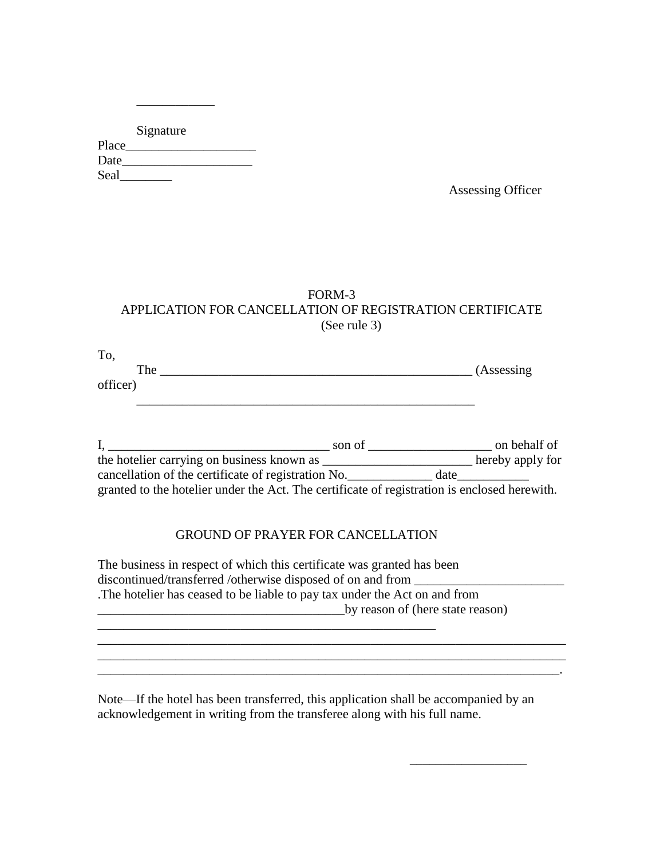|       | Signature |  |
|-------|-----------|--|
| Place |           |  |
| Date  |           |  |
| Seal  |           |  |

\_\_\_\_\_\_\_\_\_\_\_\_

Assessing Officer

\_\_\_\_\_\_\_\_\_\_\_\_\_\_\_\_\_\_

### FORM-3 APPLICATION FOR CANCELLATION OF REGISTRATION CERTIFICATE (See rule 3)

| To.      |            |
|----------|------------|
| The      | (Assessing |
| officer) |            |

|                                                                                              | son of |      | on behalf of     |
|----------------------------------------------------------------------------------------------|--------|------|------------------|
| the hotelier carrying on business known as                                                   |        |      | hereby apply for |
| cancellation of the certificate of registration No.                                          |        | date |                  |
| granted to the hotelier under the Act. The certificate of registration is enclosed herewith. |        |      |                  |

#### GROUND OF PRAYER FOR CANCELLATION

| The business in respect of which this certificate was granted has been    |
|---------------------------------------------------------------------------|
| discontinued/transferred /otherwise disposed of on and from               |
| The hotelier has ceased to be liable to pay tax under the Act on and from |
| by reason of (here state reason)                                          |
|                                                                           |

 $\mathcal{L}_\mathcal{L} = \mathcal{L}_\mathcal{L} = \mathcal{L}_\mathcal{L} = \mathcal{L}_\mathcal{L} = \mathcal{L}_\mathcal{L} = \mathcal{L}_\mathcal{L} = \mathcal{L}_\mathcal{L} = \mathcal{L}_\mathcal{L} = \mathcal{L}_\mathcal{L} = \mathcal{L}_\mathcal{L} = \mathcal{L}_\mathcal{L} = \mathcal{L}_\mathcal{L} = \mathcal{L}_\mathcal{L} = \mathcal{L}_\mathcal{L} = \mathcal{L}_\mathcal{L} = \mathcal{L}_\mathcal{L} = \mathcal{L}_\mathcal{L}$ 

Note—If the hotel has been transferred, this application shall be accompanied by an acknowledgement in writing from the transferee along with his full name.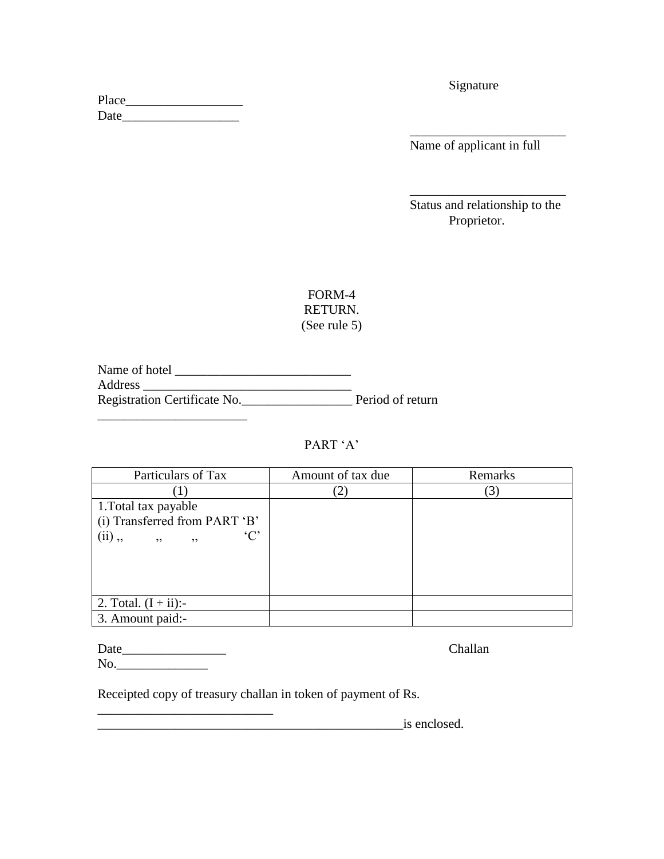| Place |  |
|-------|--|
| Date  |  |

Signature

Name of applicant in full

\_\_\_\_\_\_\_\_\_\_\_\_\_\_\_\_\_\_\_\_\_\_\_\_

Status and relationship to the Proprietor.

\_\_\_\_\_\_\_\_\_\_\_\_\_\_\_\_\_\_\_\_\_\_\_\_

## FORM-4 RETURN. (See rule 5)

Name of hotel \_\_\_\_\_\_\_\_\_\_\_\_\_\_\_\_\_\_\_\_\_\_\_\_\_\_\_ Address \_\_\_\_\_\_\_\_\_\_\_\_\_\_\_\_\_\_\_\_\_\_\_\_\_\_\_\_\_\_\_\_ Registration Certificate No.\_\_\_\_\_\_\_\_\_\_\_\_\_\_\_\_\_ Period of return

# PART 'A'

| Particulars of Tax             | Amount of tax due | Remarks |
|--------------------------------|-------------------|---------|
|                                |                   | 3       |
| 1. Total tax payable           |                   |         |
| (i) Transferred from PART 'B'  |                   |         |
| °C<br>$(ii)$ ,<br>, ,<br>, , , |                   |         |
|                                |                   |         |
|                                |                   |         |
|                                |                   |         |
| 2. Total. $(I + ii)$ :-        |                   |         |
|                                |                   |         |
| 3. Amount paid:-               |                   |         |

| Date | <b>Challan</b> |
|------|----------------|
| No.  |                |

\_\_\_\_\_\_\_\_\_\_\_\_\_\_\_\_\_\_\_\_\_\_\_

Receipted copy of treasury challan in token of payment of Rs.

\_\_\_\_\_\_\_\_\_\_\_\_\_\_\_\_\_\_\_\_\_\_\_\_\_\_\_

is enclosed.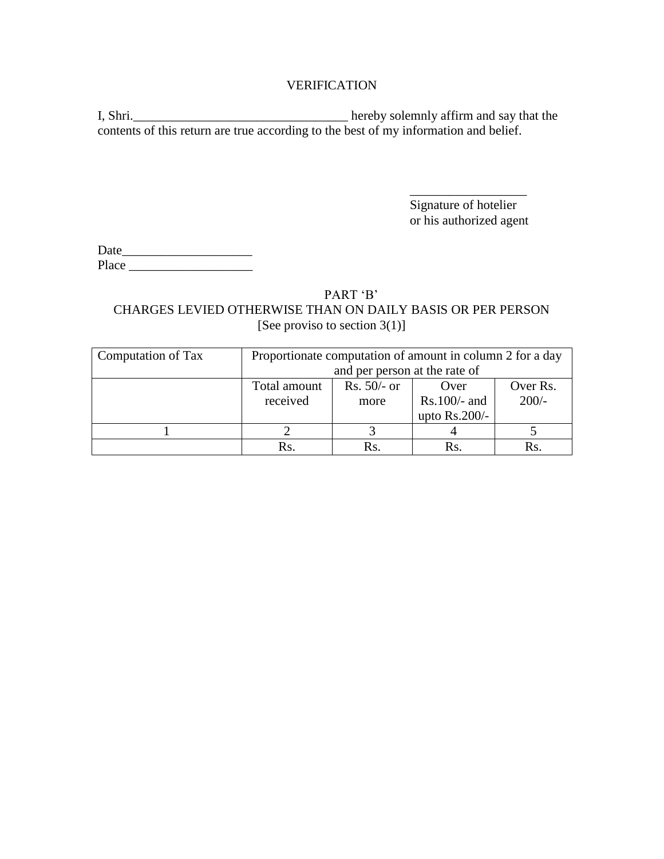### VERIFICATION

I, Shri.\_\_\_\_\_\_\_\_\_\_\_\_\_\_\_\_\_\_\_\_\_\_\_\_\_\_\_\_\_\_\_\_\_ hereby solemnly affirm and say that the contents of this return are true according to the best of my information and belief.

> Signature of hotelier or his authorized agent

\_\_\_\_\_\_\_\_\_\_\_\_\_\_\_\_\_\_

Date\_\_\_\_\_\_\_\_\_\_\_\_\_\_\_\_\_\_\_\_ Place \_\_\_\_\_\_\_\_\_\_\_\_\_\_\_\_\_\_\_

# PART 'B' CHARGES LEVIED OTHERWISE THAN ON DAILY BASIS OR PER PERSON [See proviso to section 3(1)]

| Computation of Tax | Proportionate computation of amount in column 2 for a day |               |                 |          |
|--------------------|-----------------------------------------------------------|---------------|-----------------|----------|
|                    | and per person at the rate of                             |               |                 |          |
|                    | Total amount                                              | $Rs. 50/- or$ | Over            | Over Rs. |
|                    | received                                                  | more          | $Rs.100/-$ and  | $200/-$  |
|                    |                                                           |               | upto $Rs.200/-$ |          |
|                    |                                                           |               |                 |          |
|                    | Rs.                                                       | Rs.           | Rs.             | Rs.      |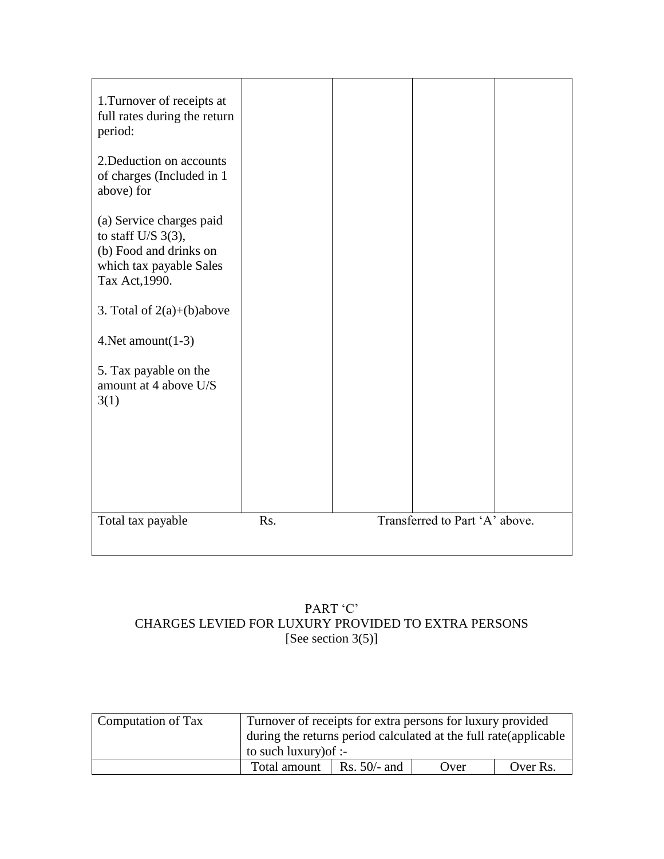

# PART 'C' CHARGES LEVIED FOR LUXURY PROVIDED TO EXTRA PERSONS [See section  $3(5)$ ]

| Computation of Tax | Turnover of receipts for extra persons for luxury provided<br>during the returns period calculated at the full rate (applicable) |                      |      |          |
|--------------------|----------------------------------------------------------------------------------------------------------------------------------|----------------------|------|----------|
|                    | to such luxury) of :-                                                                                                            |                      |      |          |
|                    | Total amount                                                                                                                     | $\vert$ Rs. 50/- and | Over | Over Rs. |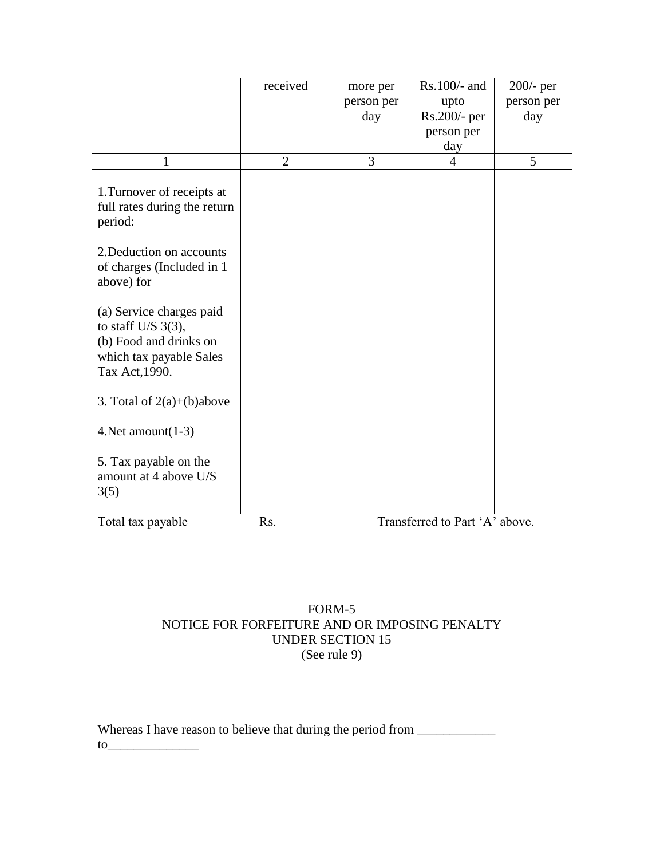|                                                                                                                                              | received       | more per<br>person per | Rs.100/- and<br>upto           | $200/-$ per<br>person per |
|----------------------------------------------------------------------------------------------------------------------------------------------|----------------|------------------------|--------------------------------|---------------------------|
|                                                                                                                                              |                | day                    | Rs.200/- per                   | day                       |
|                                                                                                                                              |                |                        | person per                     |                           |
|                                                                                                                                              |                |                        | day                            |                           |
| 1                                                                                                                                            | $\overline{2}$ | 3                      | 4                              | 5                         |
| 1. Turnover of receipts at<br>full rates during the return<br>period:<br>2. Deduction on accounts<br>of charges (Included in 1<br>above) for |                |                        |                                |                           |
| (a) Service charges paid<br>to staff U/S $3(3)$ ,<br>(b) Food and drinks on<br>which tax payable Sales<br>Tax Act, 1990.                     |                |                        |                                |                           |
| 3. Total of $2(a)+(b)$ above                                                                                                                 |                |                        |                                |                           |
| 4. Net amount $(1-3)$                                                                                                                        |                |                        |                                |                           |
| 5. Tax payable on the<br>amount at 4 above U/S<br>3(5)                                                                                       |                |                        |                                |                           |
| Total tax payable                                                                                                                            | Rs.            |                        | Transferred to Part 'A' above. |                           |
|                                                                                                                                              |                |                        |                                |                           |

### FORM-5 NOTICE FOR FORFEITURE AND OR IMPOSING PENALTY UNDER SECTION 15 (See rule 9)

Whereas I have reason to believe that during the period from \_\_\_\_\_\_\_\_\_\_\_\_\_\_\_\_\_\_\_  $\text{to}$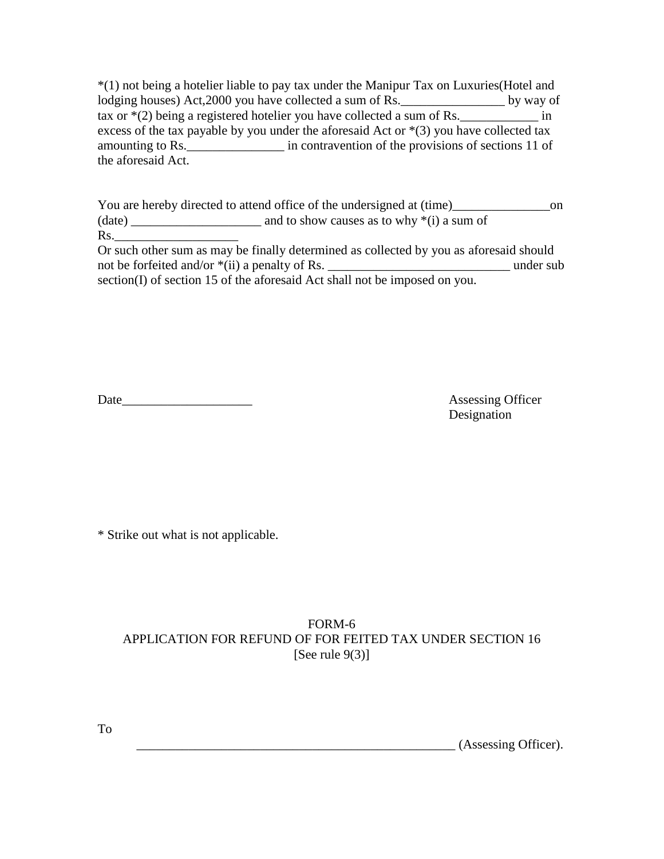\*(1) not being a hotelier liable to pay tax under the Manipur Tax on Luxuries(Hotel and lodging houses) Act, 2000 you have collected a sum of Rs. \_\_\_\_\_\_\_\_\_\_\_\_\_\_\_\_\_\_\_\_ by way of tax or  $*(2)$  being a registered hotelier you have collected a sum of Rs. \_\_\_\_\_\_\_\_\_\_\_\_\_\_ in excess of the tax payable by you under the aforesaid Act or  $*(3)$  you have collected tax amounting to Rs.\_\_\_\_\_\_\_\_\_\_\_\_\_\_\_ in contravention of the provisions of sections 11 of the aforesaid Act.

You are hereby directed to attend office of the undersigned at  $(time)$ \_\_\_\_\_\_\_\_\_\_\_\_\_\_\_\_\_\_\_\_\_on  $(data)$  and to show causes as to why  $*(i)$  a sum of Rs.

Or such other sum as may be finally determined as collected by you as aforesaid should not be forfeited and/or \*(ii) a penalty of Rs. \_\_\_\_\_\_\_\_\_\_\_\_\_\_\_\_\_\_\_\_\_\_\_\_\_\_\_\_ under sub section(I) of section 15 of the aforesaid Act shall not be imposed on you.

Date Assessing Officer

Designation

\* Strike out what is not applicable.

# FORM-6 APPLICATION FOR REFUND OF FOR FEITED TAX UNDER SECTION 16 [See rule  $9(3)$ ]

\_\_\_\_\_\_\_\_\_\_\_\_\_\_\_\_\_\_\_\_\_\_\_\_\_\_\_\_\_\_\_\_\_\_\_\_\_\_\_\_\_\_\_\_\_\_\_\_\_ (Assessing Officer).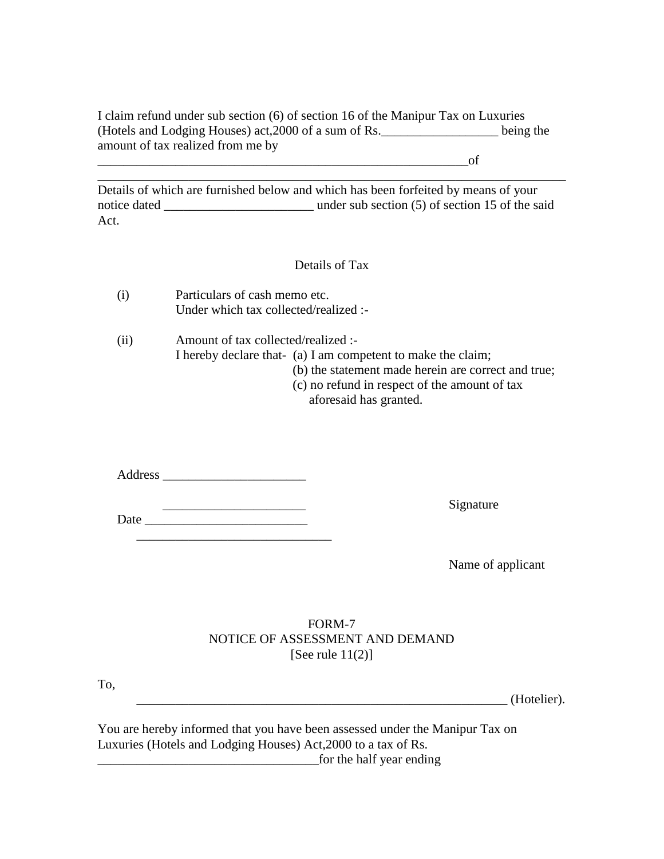I claim refund under sub section (6) of section 16 of the Manipur Tax on Luxuries (Hotels and Lodging Houses) act,2000 of a sum of Rs.\_\_\_\_\_\_\_\_\_\_\_\_\_\_\_\_\_\_ being the amount of tax realized from me by

 $\circ$  of

Details of which are furnished below and which has been forfeited by means of your notice dated \_\_\_\_\_\_\_\_\_\_\_\_\_\_\_\_\_\_\_\_\_\_\_ under sub section (5) of section 15 of the said Act.

\_\_\_\_\_\_\_\_\_\_\_\_\_\_\_\_\_\_\_\_\_\_\_\_\_\_\_\_\_\_\_\_\_\_\_\_\_\_\_\_\_\_\_\_\_\_\_\_\_\_\_\_\_\_\_\_\_\_\_\_\_\_\_\_\_\_\_\_\_\_\_\_

### Details of Tax

| (i) | Particulars of cash memo etc.         |
|-----|---------------------------------------|
|     | Under which tax collected/realized :- |

(ii) Amount of tax collected/realized :- I hereby declare that- (a) I am competent to make the claim; (b) the statement made herein are correct and true; (c) no refund in respect of the amount of tax

aforesaid has granted.

Address \_\_\_\_\_\_\_\_\_\_\_\_\_\_\_\_\_\_\_\_\_\_

Date \_\_\_\_\_\_\_\_\_\_\_\_\_\_\_\_\_\_\_\_\_\_\_\_\_

\_\_\_\_\_\_\_\_\_\_\_\_\_\_\_\_\_\_\_\_\_\_\_\_\_\_\_\_\_\_

\_\_\_\_\_\_\_\_\_\_\_\_\_\_\_\_\_\_\_\_\_\_ Signature

Name of applicant

### FORM-7 NOTICE OF ASSESSMENT AND DEMAND [See rule  $11(2)$ ]

To,

\_\_\_\_\_\_\_\_\_\_\_\_\_\_\_\_\_\_\_\_\_\_\_\_\_\_\_\_\_\_\_\_\_\_\_\_\_\_\_\_\_\_\_\_\_\_\_\_\_\_\_\_\_\_\_\_\_ (Hotelier).

You are hereby informed that you have been assessed under the Manipur Tax on Luxuries (Hotels and Lodging Houses) Act,2000 to a tax of Rs. \_\_\_\_\_\_\_\_\_\_\_\_\_\_\_\_\_\_\_\_\_\_\_\_\_\_\_\_\_\_\_\_\_\_for the half year ending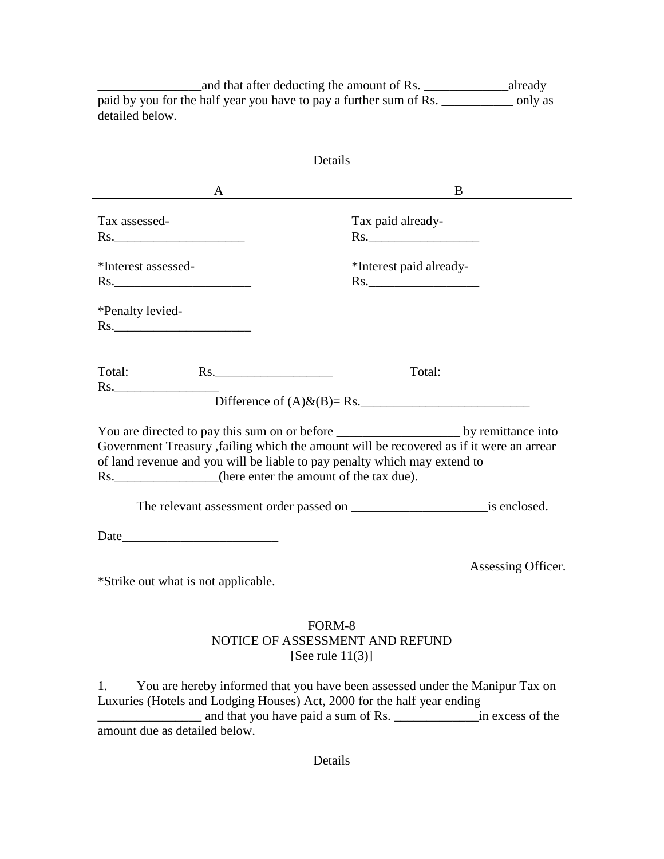and that after deducting the amount of Rs. \_\_\_\_\_\_\_\_\_\_\_\_\_\_\_\_\_\_\_\_\_already paid by you for the half year you have to pay a further sum of Rs. \_\_\_\_\_\_\_\_\_\_\_\_\_\_ only as detailed below.

| <sub>B</sub><br>Tax paid already-<br>Rs.<br>*Interest paid already-<br>Rs.                                                                                                                                                         |
|------------------------------------------------------------------------------------------------------------------------------------------------------------------------------------------------------------------------------------|
|                                                                                                                                                                                                                                    |
|                                                                                                                                                                                                                                    |
|                                                                                                                                                                                                                                    |
|                                                                                                                                                                                                                                    |
| Total:<br>Difference of $(A)$ & $(B)$ = Rs.                                                                                                                                                                                        |
| Government Treasury , failing which the amount will be recovered as if it were an arrear<br>of land revenue and you will be liable to pay penalty which may extend to<br>Rs. ______________(here enter the amount of the tax due). |
|                                                                                                                                                                                                                                    |
|                                                                                                                                                                                                                                    |
| Assessing Officer.                                                                                                                                                                                                                 |
|                                                                                                                                                                                                                                    |
|                                                                                                                                                                                                                                    |

1. You are hereby informed that you have been assessed under the Manipur Tax on Luxuries (Hotels and Lodging Houses) Act, 2000 for the half year ending \_\_\_\_\_\_\_\_\_\_\_\_\_\_\_\_ and that you have paid a sum of Rs. \_\_\_\_\_\_\_\_\_\_\_\_\_in excess of the amount due as detailed below.

Details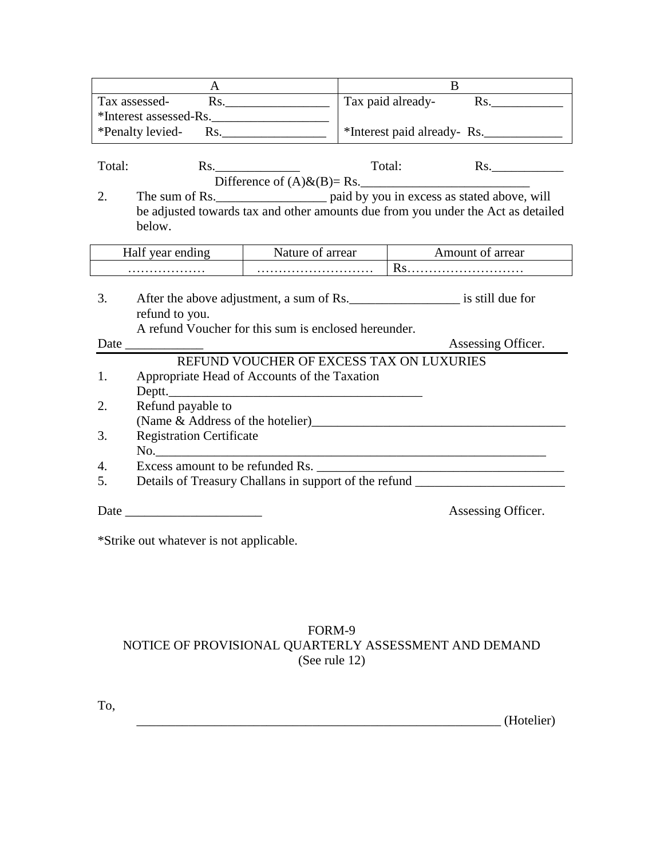| $\mathsf{A}$                                                                                                                                                                                                                  |                                          | B                          |                         |                    |
|-------------------------------------------------------------------------------------------------------------------------------------------------------------------------------------------------------------------------------|------------------------------------------|----------------------------|-------------------------|--------------------|
| Tax assessed-<br>Rs.                                                                                                                                                                                                          |                                          | Tax paid already-<br>Rs.   |                         |                    |
| *Interest assessed-Rs.                                                                                                                                                                                                        |                                          |                            |                         |                    |
| *Penalty levied-Rs.                                                                                                                                                                                                           |                                          | *Interest paid already-Rs. |                         |                    |
|                                                                                                                                                                                                                               |                                          |                            |                         |                    |
| Total:                                                                                                                                                                                                                        | Rs.                                      |                            | Total:                  | Rs.                |
|                                                                                                                                                                                                                               |                                          |                            |                         |                    |
| 2.                                                                                                                                                                                                                            |                                          |                            |                         |                    |
| be adjusted towards tax and other amounts due from you under the Act as detailed                                                                                                                                              |                                          |                            |                         |                    |
| below.                                                                                                                                                                                                                        |                                          |                            |                         |                    |
|                                                                                                                                                                                                                               |                                          |                            |                         |                    |
| Half year ending                                                                                                                                                                                                              | Nature of arrear                         |                            | <b>Amount of arrear</b> |                    |
|                                                                                                                                                                                                                               |                                          |                            | Rs                      |                    |
|                                                                                                                                                                                                                               |                                          |                            |                         |                    |
| 3.<br>After the above adjustment, a sum of Rs.                                                                                                                                                                                |                                          |                            |                         |                    |
| refund to you.                                                                                                                                                                                                                |                                          |                            |                         |                    |
| A refund Voucher for this sum is enclosed hereunder.                                                                                                                                                                          |                                          |                            |                         |                    |
| Date and the same state of the state of the state of the state of the state of the state of the state of the state of the state of the state of the state of the state of the state of the state of the state of the state of |                                          |                            |                         | Assessing Officer. |
|                                                                                                                                                                                                                               | REFUND VOUCHER OF EXCESS TAX ON LUXURIES |                            |                         |                    |
| Appropriate Head of Accounts of the Taxation<br>1.                                                                                                                                                                            |                                          |                            |                         |                    |
| Deptt.                                                                                                                                                                                                                        |                                          |                            |                         |                    |
| Refund payable to<br>2.                                                                                                                                                                                                       |                                          |                            |                         |                    |
| (Name & Address of the hotelier)<br><u>Letter</u> 2015                                                                                                                                                                        |                                          |                            |                         |                    |
| <b>Registration Certificate</b><br>3.                                                                                                                                                                                         |                                          |                            |                         |                    |
|                                                                                                                                                                                                                               |                                          |                            |                         |                    |
| Excess amount to be refunded Rs.<br>$\mathbf{4}$ .                                                                                                                                                                            |                                          |                            |                         |                    |
| Details of Treasury Challans in support of the refund ___________________________<br>5.                                                                                                                                       |                                          |                            |                         |                    |
|                                                                                                                                                                                                                               |                                          |                            |                         | Assessing Officer. |
|                                                                                                                                                                                                                               |                                          |                            |                         |                    |

\*Strike out whatever is not applicable.

# FORM-9 NOTICE OF PROVISIONAL QUARTERLY ASSESSMENT AND DEMAND (See rule 12)

To,

\_\_\_\_\_\_\_\_\_\_\_\_\_\_\_\_\_\_\_\_\_\_\_\_\_\_\_\_\_\_\_\_\_\_\_\_\_\_\_\_\_\_\_\_\_\_\_\_\_\_\_\_\_\_\_\_ (Hotelier)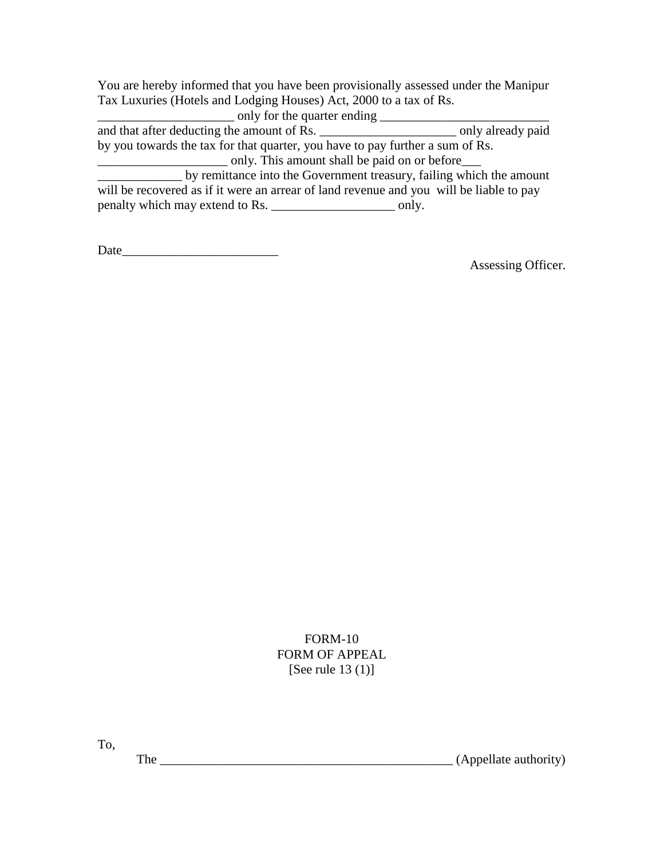You are hereby informed that you have been provisionally assessed under the Manipur Tax Luxuries (Hotels and Lodging Houses) Act, 2000 to a tax of Rs.

\_\_\_\_\_\_\_\_\_\_\_\_\_\_\_\_\_\_\_\_\_ only for the quarter ending \_\_\_\_\_\_\_\_\_\_\_\_\_\_\_\_\_\_\_\_\_\_\_\_\_\_ and that after deducting the amount of Rs. \_\_\_\_\_\_\_\_\_\_\_\_\_\_\_\_\_\_\_\_\_ only already paid by you towards the tax for that quarter, you have to pay further a sum of Rs. \_\_\_\_\_\_\_\_\_\_\_\_\_\_\_\_\_\_\_\_ only. This amount shall be paid on or before\_\_\_ by remittance into the Government treasury, failing which the amount will be recovered as if it were an arrear of land revenue and you will be liable to pay penalty which may extend to Rs. \_\_\_\_\_\_\_\_\_\_\_\_\_\_\_\_\_\_\_\_\_\_\_\_\_\_ only.

Date\_\_\_\_\_\_\_\_\_\_\_\_\_\_\_\_\_\_\_\_\_\_\_\_

Assessing Officer.

# FORM-10 FORM OF APPEAL [See rule 13 (1)]

To,

The \_\_\_\_\_\_\_\_\_\_\_\_\_\_\_\_\_\_\_\_\_\_\_\_\_\_\_\_\_\_\_\_\_\_\_\_\_\_\_\_\_\_\_\_\_ (Appellate authority)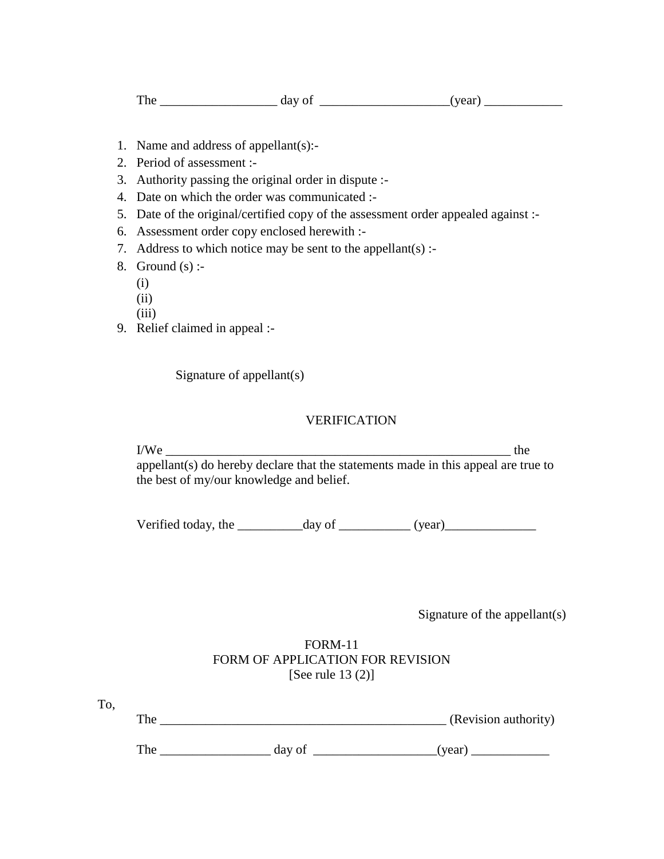- 1. Name and address of appellant(s):-
- 2. Period of assessment :-
- 3. Authority passing the original order in dispute :-
- 4. Date on which the order was communicated :-
- 5. Date of the original/certified copy of the assessment order appealed against :-
- 6. Assessment order copy enclosed herewith :-
- 7. Address to which notice may be sent to the appellant(s) :-
- 8. Ground  $(s)$  :-
	- (i)
	- (ii)
	- (iii)
- 9. Relief claimed in appeal :-

Signature of appellant(s)

## VERIFICATION

 $I/We$  the appellant(s) do hereby declare that the statements made in this appeal are true to the best of my/our knowledge and belief.

Verified today, the  $\frac{1}{2}$  day of  $\frac{1}{2}$  (year)

Signature of the appellant(s)

### FORM-11 FORM OF APPLICATION FOR REVISION [See rule 13 (2)]

| To  |                      |
|-----|----------------------|
| The | (Revision authority) |
|     |                      |

The \_\_\_\_\_\_\_\_\_\_\_\_\_\_\_\_\_ day of \_\_\_\_\_\_\_\_\_\_\_\_\_\_\_\_\_\_\_(year) \_\_\_\_\_\_\_\_\_\_\_\_